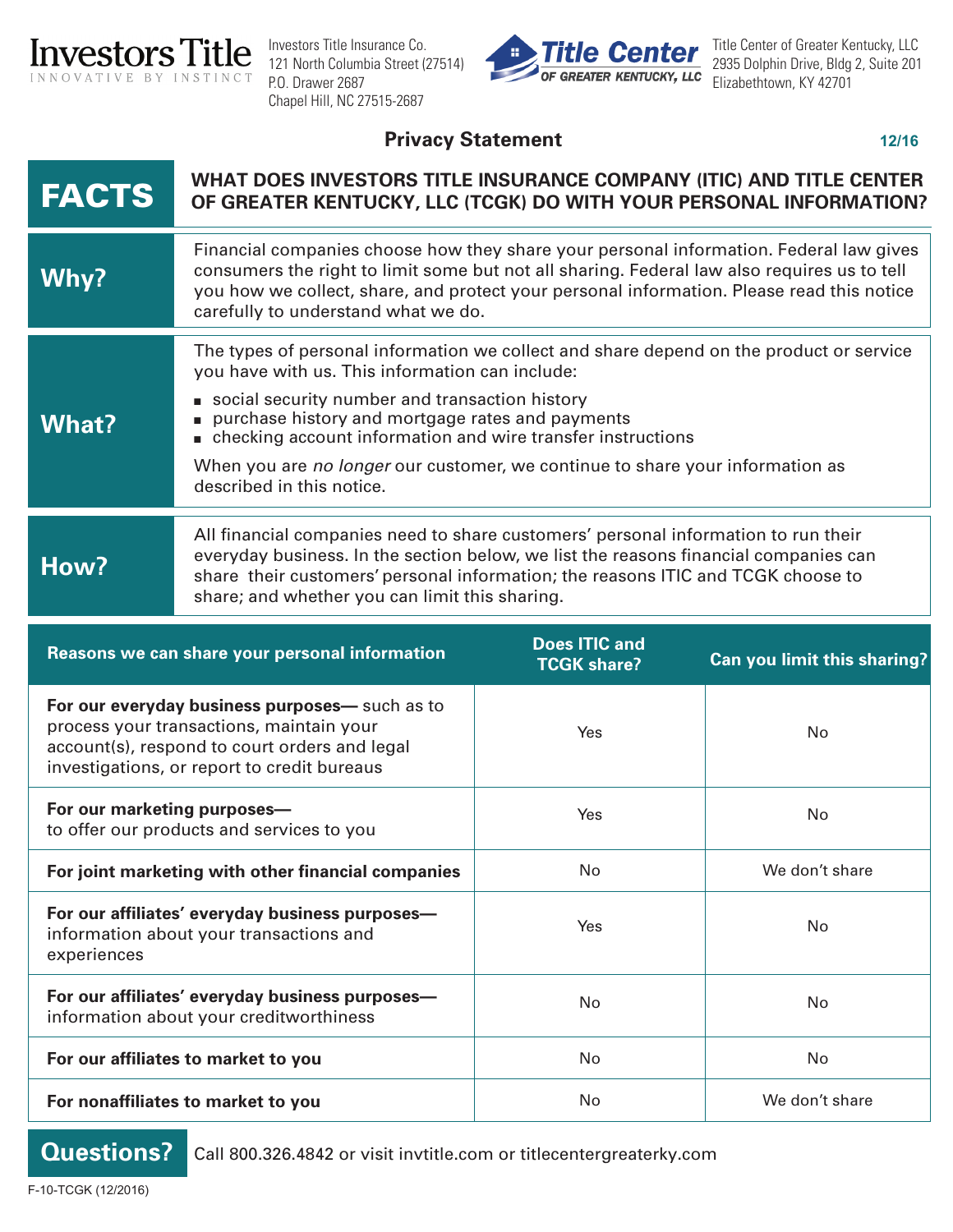

Investors Title Insurance Co. 121 North Columbia Street (27514) P.O. Drawer 2687 Chapel Hill, NC 27515-2687



Title Center of Greater Kentucky, LLC 2935 Dolphin Drive, Bldg 2, Suite 201 Elizabethtown, KY 42701

## Privacy Statement

| <b>FACTS</b>                                                                                                                                                                               | WHAT DOES INVESTORS TITLE INSURANCE COMPANY (ITIC) AND TITLE CENTER<br>OF GREATER KENTUCKY, LLC (TCGK) DO WITH YOUR PERSONAL INFORMATION?                                                                                                                                                                                                                                                                                     |                                            |                             |
|--------------------------------------------------------------------------------------------------------------------------------------------------------------------------------------------|-------------------------------------------------------------------------------------------------------------------------------------------------------------------------------------------------------------------------------------------------------------------------------------------------------------------------------------------------------------------------------------------------------------------------------|--------------------------------------------|-----------------------------|
| Why?                                                                                                                                                                                       | Financial companies choose how they share your personal information. Federal law gives<br>consumers the right to limit some but not all sharing. Federal law also requires us to tell<br>you how we collect, share, and protect your personal information. Please read this notice<br>carefully to understand what we do.                                                                                                     |                                            |                             |
| <b>What?</b>                                                                                                                                                                               | The types of personal information we collect and share depend on the product or service<br>you have with us. This information can include:<br>social security number and transaction history<br>purchase history and mortgage rates and payments<br>checking account information and wire transfer instructions<br>When you are no longer our customer, we continue to share your information as<br>described in this notice. |                                            |                             |
| How?                                                                                                                                                                                       | All financial companies need to share customers' personal information to run their<br>everyday business. In the section below, we list the reasons financial companies can<br>share their customers' personal information; the reasons ITIC and TCGK choose to<br>share; and whether you can limit this sharing.                                                                                                              |                                            |                             |
| Reasons we can share your personal information                                                                                                                                             |                                                                                                                                                                                                                                                                                                                                                                                                                               | <b>Does ITIC and</b><br><b>TCGK share?</b> | Can you limit this sharing? |
| For our everyday business purposes- such as to<br>process your transactions, maintain your<br>account(s), respond to court orders and legal<br>investigations, or report to credit bureaus |                                                                                                                                                                                                                                                                                                                                                                                                                               | Yes                                        | No                          |
| For our marketing purposes-<br>to offer our products and services to you                                                                                                                   |                                                                                                                                                                                                                                                                                                                                                                                                                               | Yes                                        | No                          |
| For joint marketing with other financial companies                                                                                                                                         |                                                                                                                                                                                                                                                                                                                                                                                                                               | No                                         | We don't share              |
| For our affiliates' everyday business purposes-<br>information about your transactions and<br>experiences                                                                                  |                                                                                                                                                                                                                                                                                                                                                                                                                               | Yes                                        | No                          |
| For our affiliates' everyday business purposes-<br>information about your creditworthiness                                                                                                 |                                                                                                                                                                                                                                                                                                                                                                                                                               | No                                         | No                          |
| For our affiliates to market to you                                                                                                                                                        |                                                                                                                                                                                                                                                                                                                                                                                                                               | No                                         | No                          |
| For nonaffiliates to market to you                                                                                                                                                         |                                                                                                                                                                                                                                                                                                                                                                                                                               | No                                         | We don't share              |

**Questions?**

Call 800.326.4842 or visit invtitle.com or titlecentergreaterky.com